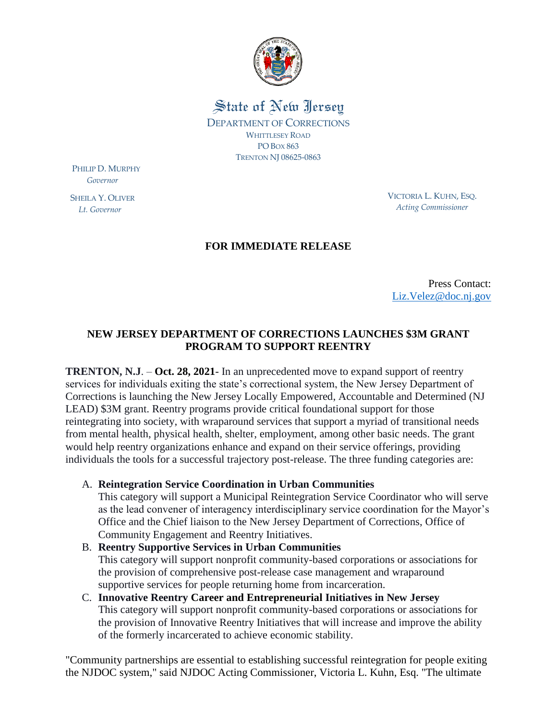

State of New Jersey DEPARTMENT OF CORRECTIONS WHITTLESEY ROAD PO BOX 863 TRENTON NJ 08625-0863

PHILIP D. MURPHY  *Governor*

SHEILA Y. OLIVER  *Lt. Governor*

VICTORIA L. KUHN, ESQ. *Acting Commissioner*

## **FOR IMMEDIATE RELEASE**

Press Contact: [Liz.Velez@doc.nj.gov](mailto:Liz.Velez@doc.nj.gov)

## **NEW JERSEY DEPARTMENT OF CORRECTIONS LAUNCHES \$3M GRANT PROGRAM TO SUPPORT REENTRY**

**TRENTON, N.J**. – **Oct. 28, 2021**- In an unprecedented move to expand support of reentry services for individuals exiting the state's correctional system, the New Jersey Department of Corrections is launching the New Jersey Locally Empowered, Accountable and Determined (NJ LEAD) \$3M grant. Reentry programs provide critical foundational support for those reintegrating into society, with wraparound services that support a myriad of transitional needs from mental health, physical health, shelter, employment, among other basic needs. The grant would help reentry organizations enhance and expand on their service offerings, providing individuals the tools for a successful trajectory post-release. The three funding categories are:

A. **Reintegration Service Coordination in Urban Communities**

This category will support a Municipal Reintegration Service Coordinator who will serve as the lead convener of interagency interdisciplinary service coordination for the Mayor's Office and the Chief liaison to the New Jersey Department of Corrections, Office of Community Engagement and Reentry Initiatives.

## B. **Reentry Supportive Services in Urban Communities** This category will support nonprofit community-based corporations or associations for the provision of comprehensive post-release case management and wraparound supportive services for people returning home from incarceration.

C. **Innovative Reentry Career and Entrepreneurial Initiatives in New Jersey** This category will support nonprofit community-based corporations or associations for the provision of Innovative Reentry Initiatives that will increase and improve the ability of the formerly incarcerated to achieve economic stability.

"Community partnerships are essential to establishing successful reintegration for people exiting the NJDOC system," said NJDOC Acting Commissioner, Victoria L. Kuhn, Esq. "The ultimate